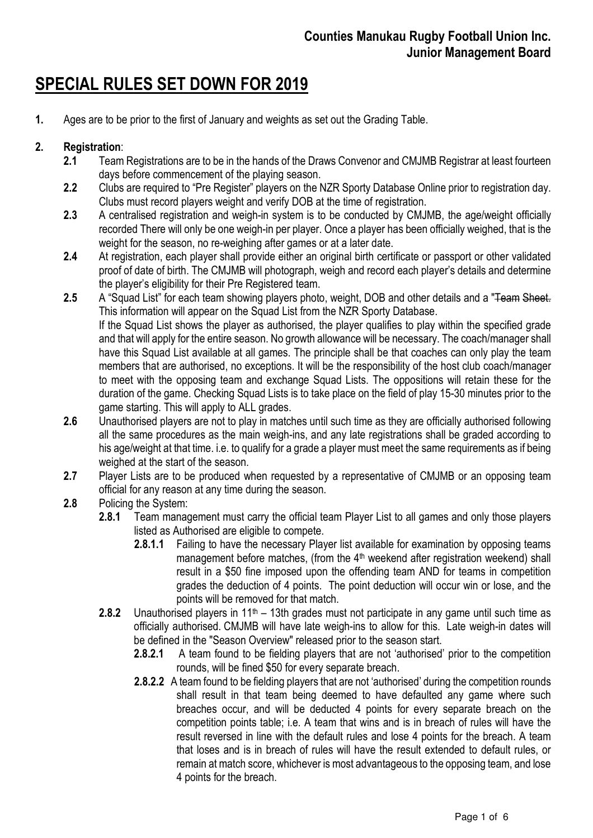# SPECIAL RULES SET DOWN FOR 2019

1. Ages are to be prior to the first of January and weights as set out the Grading Table.

# 2. Registration:

- 2.1 Team Registrations are to be in the hands of the Draws Convenor and CMJMB Registrar at least fourteen days before commencement of the playing season.
- 2.2 Clubs are required to "Pre Register" players on the NZR Sporty Database Online prior to registration day. Clubs must record players weight and verify DOB at the time of registration.
- 2.3 A centralised registration and weigh-in system is to be conducted by CMJMB, the age/weight officially recorded There will only be one weigh-in per player. Once a player has been officially weighed, that is the weight for the season, no re-weighing after games or at a later date.
- 2.4 At registration, each player shall provide either an original birth certificate or passport or other validated proof of date of birth. The CMJMB will photograph, weigh and record each player's details and determine the player's eligibility for their Pre Registered team.
- 2.5 A "Squad List" for each team showing players photo, weight, DOB and other details and a "Team Sheet. This information will appear on the Squad List from the NZR Sporty Database. If the Squad List shows the player as authorised, the player qualifies to play within the specified grade and that will apply for the entire season. No growth allowance will be necessary. The coach/manager shall have this Squad List available at all games. The principle shall be that coaches can only play the team members that are authorised, no exceptions. It will be the responsibility of the host club coach/manager to meet with the opposing team and exchange Squad Lists. The oppositions will retain these for the duration of the game. Checking Squad Lists is to take place on the field of play 15-30 minutes prior to the game starting. This will apply to ALL grades.
- 2.6 Unauthorised players are not to play in matches until such time as they are officially authorised following all the same procedures as the main weigh-ins, and any late registrations shall be graded according to his age/weight at that time. i.e. to qualify for a grade a player must meet the same requirements as if being weighed at the start of the season.
- 2.7 Player Lists are to be produced when requested by a representative of CMJMB or an opposing team official for any reason at any time during the season.
- 2.8 Policing the System:
	- 2.8.1 Team management must carry the official team Player List to all games and only those players listed as Authorised are eligible to compete.
		- 2.8.1.1 Failing to have the necessary Player list available for examination by opposing teams management before matches, (from the 4<sup>th</sup> weekend after registration weekend) shall result in a \$50 fine imposed upon the offending team AND for teams in competition grades the deduction of 4 points. The point deduction will occur win or lose, and the points will be removed for that match.
	- 2.8.2 Unauthorised players in  $11<sup>th</sup> 13$ th grades must not participate in any game until such time as officially authorised. CMJMB will have late weigh-ins to allow for this. Late weigh-in dates will be defined in the "Season Overview" released prior to the season start.
		- 2.8.2.1 A team found to be fielding players that are not 'authorised' prior to the competition rounds, will be fined \$50 for every separate breach.
		- 2.8.2.2 A team found to be fielding players that are not 'authorised' during the competition rounds shall result in that team being deemed to have defaulted any game where such breaches occur, and will be deducted 4 points for every separate breach on the competition points table; i.e. A team that wins and is in breach of rules will have the result reversed in line with the default rules and lose 4 points for the breach. A team that loses and is in breach of rules will have the result extended to default rules, or remain at match score, whichever is most advantageous to the opposing team, and lose 4 points for the breach.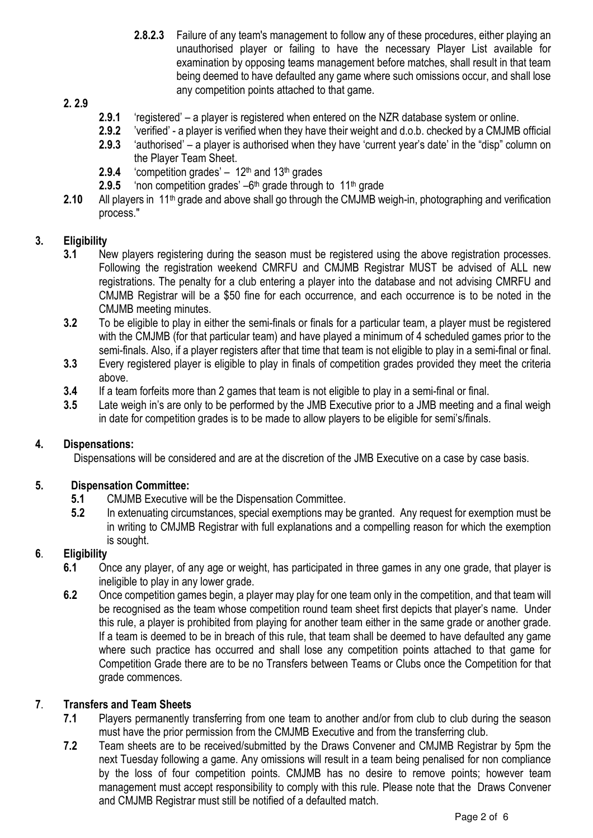2.8.2.3 Failure of any team's management to follow any of these procedures, either playing an unauthorised player or failing to have the necessary Player List available for examination by opposing teams management before matches, shall result in that team being deemed to have defaulted any game where such omissions occur, and shall lose any competition points attached to that game.

## 2. 2.9

- 2.9.1 'registered' a player is registered when entered on the NZR database system or online.
- 2.9.2 'verified' a player is verified when they have their weight and d.o.b. checked by a CMJMB official
- 2.9.3 'authorised' a player is authorised when they have 'current year's date' in the "disp" column on the Player Team Sheet.
- **2.9.4** 'competition grades'  $12<sup>th</sup>$  and  $13<sup>th</sup>$  grades
- **2.9.5** 'non competition grades'  $-6$ <sup>th</sup> grade through to 11<sup>th</sup> grade
- 2.10 All players in 11<sup>th</sup> grade and above shall go through the CMJMB weigh-in, photographing and verification process."

## 3. Eligibility

- 3.1 New players registering during the season must be registered using the above registration processes. Following the registration weekend CMRFU and CMJMB Registrar MUST be advised of ALL new registrations. The penalty for a club entering a player into the database and not advising CMRFU and CMJMB Registrar will be a \$50 fine for each occurrence, and each occurrence is to be noted in the CMJMB meeting minutes.
- 3.2 To be eligible to play in either the semi-finals or finals for a particular team, a player must be registered with the CMJMB (for that particular team) and have played a minimum of 4 scheduled games prior to the semi-finals. Also, if a player registers after that time that team is not eligible to play in a semi-final or final.
- 3.3 Every registered player is eligible to play in finals of competition grades provided they meet the criteria above.
- 3.4 If a team forfeits more than 2 games that team is not eligible to play in a semi-final or final.
- 3.5 Late weigh in's are only to be performed by the JMB Executive prior to a JMB meeting and a final weigh in date for competition grades is to be made to allow players to be eligible for semi's/finals.

#### 4. Dispensations:

Dispensations will be considered and are at the discretion of the JMB Executive on a case by case basis.

#### 5. Dispensation Committee:

- 5.1 CMJMB Executive will be the Dispensation Committee.
- 5.2 In extenuating circumstances, special exemptions may be granted. Any request for exemption must be in writing to CMJMB Registrar with full explanations and a compelling reason for which the exemption is sought.

## 6. Eligibility

- 6.1 Once any player, of any age or weight, has participated in three games in any one grade, that player is ineligible to play in any lower grade.
- 6.2 Once competition games begin, a player may play for one team only in the competition, and that team will be recognised as the team whose competition round team sheet first depicts that player's name. Under this rule, a player is prohibited from playing for another team either in the same grade or another grade. If a team is deemed to be in breach of this rule, that team shall be deemed to have defaulted any game where such practice has occurred and shall lose any competition points attached to that game for Competition Grade there are to be no Transfers between Teams or Clubs once the Competition for that grade commences.

## 7. Transfers and Team Sheets

- 7.1 Players permanently transferring from one team to another and/or from club to club during the season must have the prior permission from the CMJMB Executive and from the transferring club.
- 7.2 Team sheets are to be received/submitted by the Draws Convener and CMJMB Registrar by 5pm the next Tuesday following a game. Any omissions will result in a team being penalised for non compliance by the loss of four competition points. CMJMB has no desire to remove points; however team management must accept responsibility to comply with this rule. Please note that the Draws Convener and CMJMB Registrar must still be notified of a defaulted match.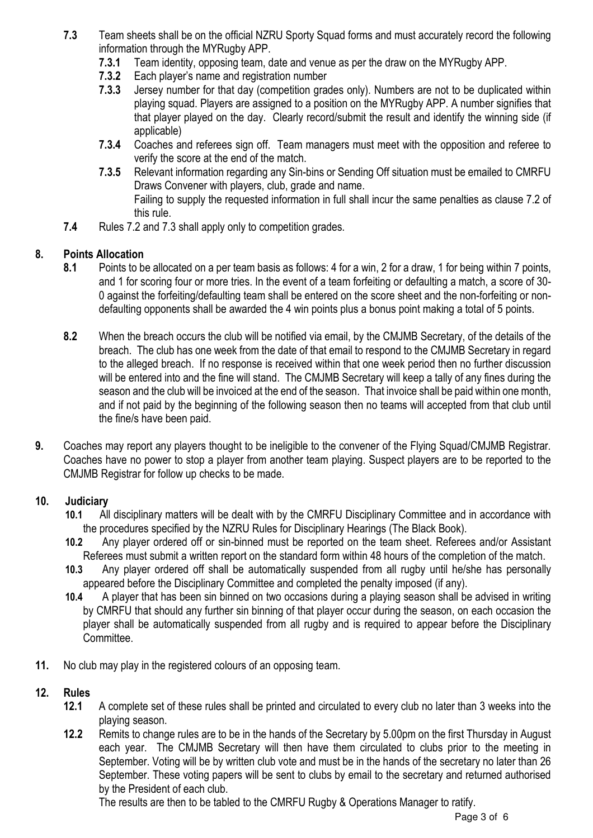- 7.3 Team sheets shall be on the official NZRU Sporty Squad forms and must accurately record the following information through the MYRugby APP.
	- 7.3.1 Team identity, opposing team, date and venue as per the draw on the MYRugby APP.
	- 7.3.2 Each player's name and registration number
	- 7.3.3 Jersey number for that day (competition grades only). Numbers are not to be duplicated within playing squad. Players are assigned to a position on the MYRugby APP. A number signifies that that player played on the day. Clearly record/submit the result and identify the winning side (if applicable)
	- 7.3.4 Coaches and referees sign off. Team managers must meet with the opposition and referee to verify the score at the end of the match.
	- 7.3.5 Relevant information regarding any Sin-bins or Sending Off situation must be emailed to CMRFU Draws Convener with players, club, grade and name. Failing to supply the requested information in full shall incur the same penalties as clause 7.2 of this rule.
- 7.4 Rules 7.2 and 7.3 shall apply only to competition grades.

## 8. Points Allocation

- 8.1 Points to be allocated on a per team basis as follows: 4 for a win, 2 for a draw, 1 for being within 7 points, and 1 for scoring four or more tries. In the event of a team forfeiting or defaulting a match, a score of 30- 0 against the forfeiting/defaulting team shall be entered on the score sheet and the non-forfeiting or nondefaulting opponents shall be awarded the 4 win points plus a bonus point making a total of 5 points.
- 8.2 When the breach occurs the club will be notified via email, by the CMJMB Secretary, of the details of the breach. The club has one week from the date of that email to respond to the CMJMB Secretary in regard to the alleged breach. If no response is received within that one week period then no further discussion will be entered into and the fine will stand. The CMJMB Secretary will keep a tally of any fines during the season and the club will be invoiced at the end of the season. That invoice shall be paid within one month, and if not paid by the beginning of the following season then no teams will accepted from that club until the fine/s have been paid.
- 9. Coaches may report any players thought to be ineligible to the convener of the Flying Squad/CMJMB Registrar. Coaches have no power to stop a player from another team playing. Suspect players are to be reported to the CMJMB Registrar for follow up checks to be made.

## 10. Judiciary

- 10.1 All disciplinary matters will be dealt with by the CMRFU Disciplinary Committee and in accordance with the procedures specified by the NZRU Rules for Disciplinary Hearings (The Black Book).
- 10.2 Any player ordered off or sin-binned must be reported on the team sheet. Referees and/or Assistant Referees must submit a written report on the standard form within 48 hours of the completion of the match.
- 10.3 Any player ordered off shall be automatically suspended from all rugby until he/she has personally appeared before the Disciplinary Committee and completed the penalty imposed (if any).
- 10.4 A player that has been sin binned on two occasions during a playing season shall be advised in writing by CMRFU that should any further sin binning of that player occur during the season, on each occasion the player shall be automatically suspended from all rugby and is required to appear before the Disciplinary Committee.
- 11. No club may play in the registered colours of an opposing team.

## 12. Rules

- 12.1 A complete set of these rules shall be printed and circulated to every club no later than 3 weeks into the playing season.
- 12.2 Remits to change rules are to be in the hands of the Secretary by 5.00pm on the first Thursday in August each year. The CMJMB Secretary will then have them circulated to clubs prior to the meeting in September. Voting will be by written club vote and must be in the hands of the secretary no later than 26 September. These voting papers will be sent to clubs by email to the secretary and returned authorised by the President of each club.

The results are then to be tabled to the CMRFU Rugby & Operations Manager to ratify.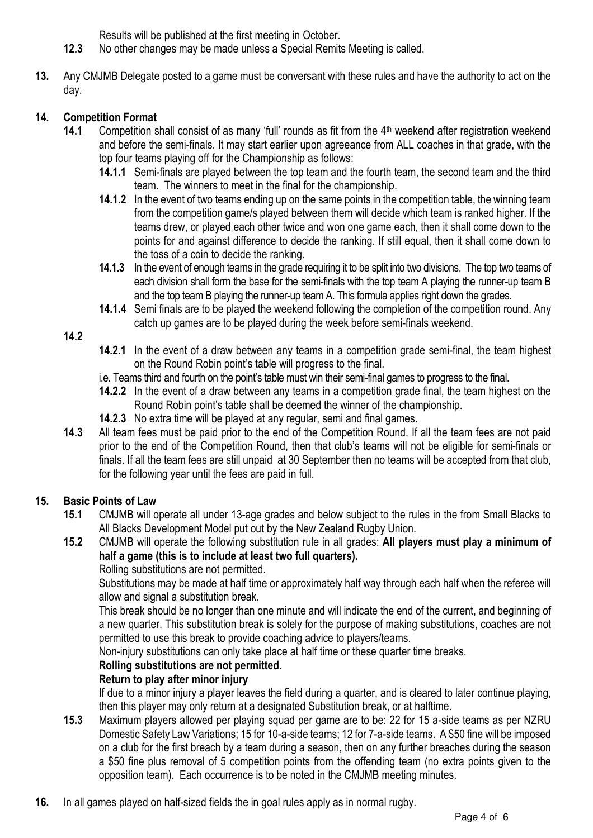Results will be published at the first meeting in October.

- 12.3 No other changes may be made unless a Special Remits Meeting is called.
- 13. Any CMJMB Delegate posted to a game must be conversant with these rules and have the authority to act on the day.

# 14. Competition Format

- 14.1 Competition shall consist of as many 'full' rounds as fit from the 4<sup>th</sup> weekend after registration weekend and before the semi-finals. It may start earlier upon agreeance from ALL coaches in that grade, with the top four teams playing off for the Championship as follows:
	- 14.1.1 Semi-finals are played between the top team and the fourth team, the second team and the third team. The winners to meet in the final for the championship.
	- 14.1.2 In the event of two teams ending up on the same points in the competition table, the winning team from the competition game/s played between them will decide which team is ranked higher. If the teams drew, or played each other twice and won one game each, then it shall come down to the points for and against difference to decide the ranking. If still equal, then it shall come down to the toss of a coin to decide the ranking.
	- 14.1.3 In the event of enough teams in the grade requiring it to be split into two divisions. The top two teams of each division shall form the base for the semi-finals with the top team A playing the runner-up team B and the top team B playing the runner-up team A. This formula applies right down the grades.
	- 14.1.4 Semi finals are to be played the weekend following the completion of the competition round. Any catch up games are to be played during the week before semi-finals weekend.

## 14.2

- 14.2.1 In the event of a draw between any teams in a competition grade semi-final, the team highest on the Round Robin point's table will progress to the final.
- i.e. Teams third and fourth on the point's table must win their semi-final games to progress to the final.
- 14.2.2 In the event of a draw between any teams in a competition grade final, the team highest on the Round Robin point's table shall be deemed the winner of the championship.
- 14.2.3 No extra time will be played at any regular, semi and final games.
- 14.3 All team fees must be paid prior to the end of the Competition Round. If all the team fees are not paid prior to the end of the Competition Round, then that club's teams will not be eligible for semi-finals or finals. If all the team fees are still unpaid at 30 September then no teams will be accepted from that club, for the following year until the fees are paid in full.

# 15. Basic Points of Law

- 15.1 CMJMB will operate all under 13-age grades and below subject to the rules in the from Small Blacks to All Blacks Development Model put out by the New Zealand Rugby Union.
- 15.2 CMJMB will operate the following substitution rule in all grades: All players must play a minimum of half a game (this is to include at least two full quarters).

## Rolling substitutions are not permitted.

Substitutions may be made at half time or approximately half way through each half when the referee will allow and signal a substitution break.

This break should be no longer than one minute and will indicate the end of the current, and beginning of a new quarter. This substitution break is solely for the purpose of making substitutions, coaches are not permitted to use this break to provide coaching advice to players/teams.

Non-injury substitutions can only take place at half time or these quarter time breaks.

# Rolling substitutions are not permitted.

# Return to play after minor injury

If due to a minor injury a player leaves the field during a quarter, and is cleared to later continue playing, then this player may only return at a designated Substitution break, or at halftime.

- 15.3 Maximum players allowed per playing squad per game are to be: 22 for 15 a-side teams as per NZRU Domestic Safety Law Variations; 15 for 10-a-side teams; 12 for 7-a-side teams. A \$50 fine will be imposed on a club for the first breach by a team during a season, then on any further breaches during the season a \$50 fine plus removal of 5 competition points from the offending team (no extra points given to the opposition team). Each occurrence is to be noted in the CMJMB meeting minutes.
- 16. In all games played on half-sized fields the in goal rules apply as in normal rugby.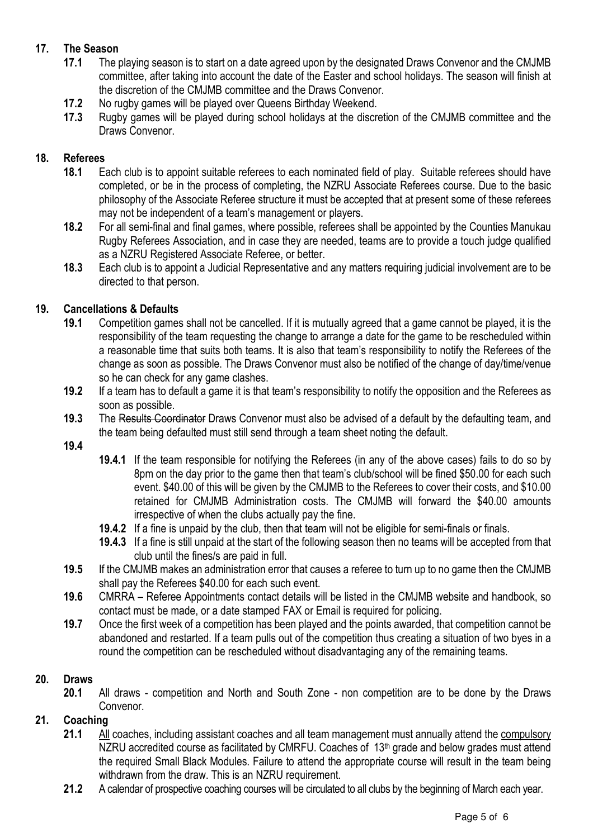# 17. The Season

- 17.1 The playing season is to start on a date agreed upon by the designated Draws Convenor and the CMJMB committee, after taking into account the date of the Easter and school holidays. The season will finish at the discretion of the CMJMB committee and the Draws Convenor.
- 17.2 No rugby games will be played over Queens Birthday Weekend.
- 17.3 Rugby games will be played during school holidays at the discretion of the CMJMB committee and the Draws Convenor.

### 18. Referees

- 18.1 Each club is to appoint suitable referees to each nominated field of play. Suitable referees should have completed, or be in the process of completing, the NZRU Associate Referees course. Due to the basic philosophy of the Associate Referee structure it must be accepted that at present some of these referees may not be independent of a team's management or players.
- 18.2 For all semi-final and final games, where possible, referees shall be appointed by the Counties Manukau Rugby Referees Association, and in case they are needed, teams are to provide a touch judge qualified as a NZRU Registered Associate Referee, or better.
- 18.3 Each club is to appoint a Judicial Representative and any matters requiring judicial involvement are to be directed to that person.

### 19. Cancellations & Defaults

- 19.1 Competition games shall not be cancelled. If it is mutually agreed that a game cannot be played, it is the responsibility of the team requesting the change to arrange a date for the game to be rescheduled within a reasonable time that suits both teams. It is also that team's responsibility to notify the Referees of the change as soon as possible. The Draws Convenor must also be notified of the change of day/time/venue so he can check for any game clashes.
- 19.2 If a team has to default a game it is that team's responsibility to notify the opposition and the Referees as soon as possible.
- 19.3 The Results Coordinator Draws Convenor must also be advised of a default by the defaulting team, and the team being defaulted must still send through a team sheet noting the default.
- 19.4
- 19.4.1 If the team responsible for notifying the Referees (in any of the above cases) fails to do so by 8pm on the day prior to the game then that team's club/school will be fined \$50.00 for each such event. \$40.00 of this will be given by the CMJMB to the Referees to cover their costs, and \$10.00 retained for CMJMB Administration costs. The CMJMB will forward the \$40.00 amounts irrespective of when the clubs actually pay the fine.
- 19.4.2 If a fine is unpaid by the club, then that team will not be eligible for semi-finals or finals.
- 19.4.3 If a fine is still unpaid at the start of the following season then no teams will be accepted from that club until the fines/s are paid in full.
- 19.5 If the CMJMB makes an administration error that causes a referee to turn up to no game then the CMJMB shall pay the Referees \$40.00 for each such event.
- 19.6 CMRRA Referee Appointments contact details will be listed in the CMJMB website and handbook, so contact must be made, or a date stamped FAX or Email is required for policing.
- 19.7 Once the first week of a competition has been played and the points awarded, that competition cannot be abandoned and restarted. If a team pulls out of the competition thus creating a situation of two byes in a round the competition can be rescheduled without disadvantaging any of the remaining teams.

#### 20. Draws

20.1 All draws - competition and North and South Zone - non competition are to be done by the Draws Convenor.

#### 21. Coaching

- 21.1 All coaches, including assistant coaches and all team management must annually attend the compulsory NZRU accredited course as facilitated by CMRFU. Coaches of  $13<sup>th</sup>$  grade and below grades must attend the required Small Black Modules. Failure to attend the appropriate course will result in the team being withdrawn from the draw. This is an NZRU requirement.
- 21.2 A calendar of prospective coaching courses will be circulated to all clubs by the beginning of March each year.